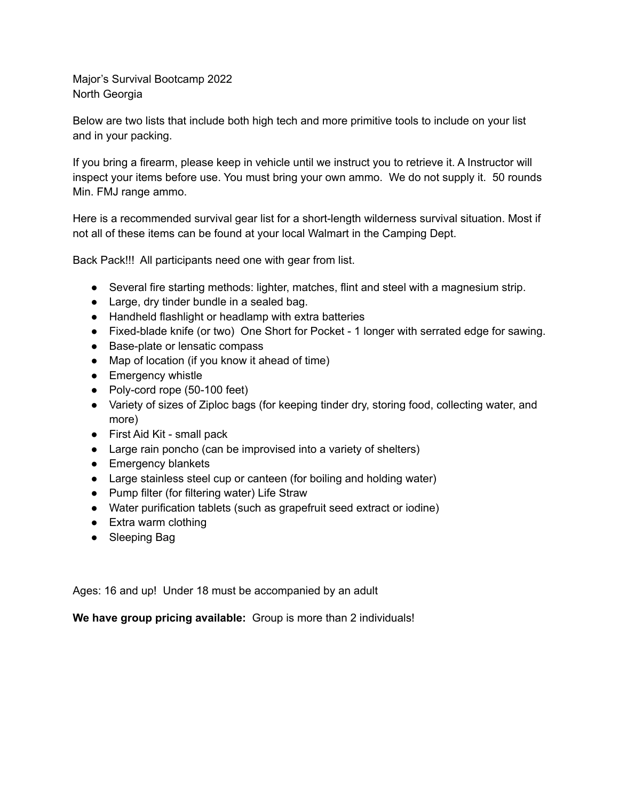Major's Survival Bootcamp 2022 North Georgia

Below are two lists that include both high tech and more primitive tools to include on your list and in your packing.

If you bring a firearm, please keep in vehicle until we instruct you to retrieve it. A Instructor will inspect your items before use. You must bring your own ammo. We do not supply it. 50 rounds Min. FMJ range ammo.

Here is a recommended survival gear list for a short-length wilderness survival situation. Most if not all of these items can be found at your local Walmart in the Camping Dept.

Back Pack!!! All participants need one with gear from list.

- Several fire starting methods: lighter, matches, flint and steel with a magnesium strip.
- Large, dry tinder bundle in a sealed bag.
- Handheld flashlight or headlamp with extra batteries
- Fixed-blade knife (or two) One Short for Pocket 1 longer with serrated edge for sawing.
- Base-plate or lensatic compass
- Map of location (if you know it ahead of time)
- Emergency whistle
- Poly-cord rope (50-100 feet)
- Variety of sizes of Ziploc bags (for keeping tinder dry, storing food, collecting water, and more)
- First Aid Kit small pack
- Large rain poncho (can be improvised into a variety of shelters)
- Emergency blankets
- Large stainless steel cup or canteen (for boiling and holding water)
- Pump filter (for filtering water) Life Straw
- Water purification tablets (such as grapefruit seed extract or iodine)
- Extra warm clothing
- Sleeping Bag

Ages: 16 and up! Under 18 must be accompanied by an adult

**We have group pricing available:** Group is more than 2 individuals!